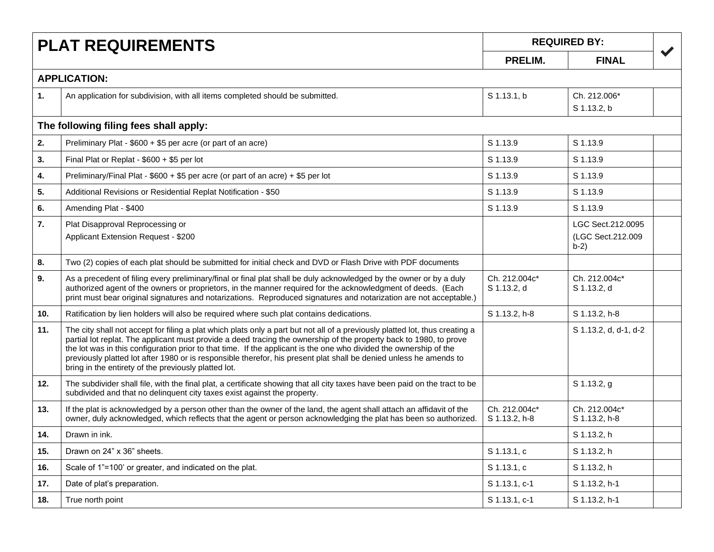| <b>PLAT REQUIREMENTS</b> |                                                                                                                                                                                                                                                                                                                                                                                                                                                                                                                                                        | <b>REQUIRED BY:</b>            |                                                  |                      |
|--------------------------|--------------------------------------------------------------------------------------------------------------------------------------------------------------------------------------------------------------------------------------------------------------------------------------------------------------------------------------------------------------------------------------------------------------------------------------------------------------------------------------------------------------------------------------------------------|--------------------------------|--------------------------------------------------|----------------------|
|                          |                                                                                                                                                                                                                                                                                                                                                                                                                                                                                                                                                        |                                | <b>FINAL</b>                                     | $\blacktriangledown$ |
|                          | <b>APPLICATION:</b>                                                                                                                                                                                                                                                                                                                                                                                                                                                                                                                                    |                                |                                                  |                      |
| 1.                       | An application for subdivision, with all items completed should be submitted.                                                                                                                                                                                                                                                                                                                                                                                                                                                                          | S 1.13.1, b                    | Ch. 212.006*<br>S 1.13.2, b                      |                      |
|                          | The following filing fees shall apply:                                                                                                                                                                                                                                                                                                                                                                                                                                                                                                                 |                                |                                                  |                      |
| 2.                       | Preliminary Plat - \$600 + \$5 per acre (or part of an acre)                                                                                                                                                                                                                                                                                                                                                                                                                                                                                           | S 1.13.9                       | S 1.13.9                                         |                      |
| 3.                       | Final Plat or Replat - \$600 + \$5 per lot                                                                                                                                                                                                                                                                                                                                                                                                                                                                                                             | S 1.13.9                       | S 1.13.9                                         |                      |
| 4.                       | Preliminary/Final Plat - \$600 + \$5 per acre (or part of an acre) + \$5 per lot                                                                                                                                                                                                                                                                                                                                                                                                                                                                       | S 1.13.9                       | S 1.13.9                                         |                      |
| 5.                       | Additional Revisions or Residential Replat Notification - \$50                                                                                                                                                                                                                                                                                                                                                                                                                                                                                         | S 1.13.9                       | S 1.13.9                                         |                      |
| 6.                       | Amending Plat - \$400                                                                                                                                                                                                                                                                                                                                                                                                                                                                                                                                  | S 1.13.9                       | S 1.13.9                                         |                      |
| 7.                       | Plat Disapproval Reprocessing or<br>Applicant Extension Request - \$200                                                                                                                                                                                                                                                                                                                                                                                                                                                                                |                                | LGC Sect.212.0095<br>(LGC Sect.212.009<br>$b-2)$ |                      |
| 8.                       | Two (2) copies of each plat should be submitted for initial check and DVD or Flash Drive with PDF documents                                                                                                                                                                                                                                                                                                                                                                                                                                            |                                |                                                  |                      |
| 9.                       | As a precedent of filing every preliminary/final or final plat shall be duly acknowledged by the owner or by a duly<br>authorized agent of the owners or proprietors, in the manner required for the acknowledgment of deeds. (Each<br>print must bear original signatures and notarizations. Reproduced signatures and notarization are not acceptable.)                                                                                                                                                                                              | Ch. 212.004c*<br>S 1.13.2, d   | Ch. 212.004c*<br>S 1.13.2, d                     |                      |
| 10.                      | Ratification by lien holders will also be required where such plat contains dedications.                                                                                                                                                                                                                                                                                                                                                                                                                                                               | S 1.13.2, h-8                  | S 1.13.2, h-8                                    |                      |
| 11.                      | The city shall not accept for filing a plat which plats only a part but not all of a previously platted lot, thus creating a<br>partial lot replat. The applicant must provide a deed tracing the ownership of the property back to 1980, to prove<br>the lot was in this configuration prior to that time. If the applicant is the one who divided the ownership of the<br>previously platted lot after 1980 or is responsible therefor, his present plat shall be denied unless he amends to<br>bring in the entirety of the previously platted lot. |                                | S 1.13.2, d, d-1, d-2                            |                      |
| 12.                      | The subdivider shall file, with the final plat, a certificate showing that all city taxes have been paid on the tract to be<br>subdivided and that no delinquent city taxes exist against the property.                                                                                                                                                                                                                                                                                                                                                |                                | S 1.13.2, g                                      |                      |
| 13.                      | If the plat is acknowledged by a person other than the owner of the land, the agent shall attach an affidavit of the<br>owner, duly acknowledged, which reflects that the agent or person acknowledging the plat has been so authorized.                                                                                                                                                                                                                                                                                                               | Ch. 212.004c*<br>S 1.13.2, h-8 | Ch. 212.004c*<br>S 1.13.2, h-8                   |                      |
| 14.                      | Drawn in ink.                                                                                                                                                                                                                                                                                                                                                                                                                                                                                                                                          |                                | S 1.13.2, h                                      |                      |
| 15.                      | Drawn on 24" x 36" sheets.                                                                                                                                                                                                                                                                                                                                                                                                                                                                                                                             | S 1.13.1, c                    | S 1.13.2, h                                      |                      |
| 16.                      | Scale of 1"=100' or greater, and indicated on the plat.                                                                                                                                                                                                                                                                                                                                                                                                                                                                                                | S 1.13.1, c                    | S 1.13.2, h                                      |                      |
| 17.                      | Date of plat's preparation.                                                                                                                                                                                                                                                                                                                                                                                                                                                                                                                            | S 1.13.1, c-1                  | S 1.13.2, h-1                                    |                      |
| 18.                      | True north point                                                                                                                                                                                                                                                                                                                                                                                                                                                                                                                                       | S 1.13.1, c-1                  | S 1.13.2, h-1                                    |                      |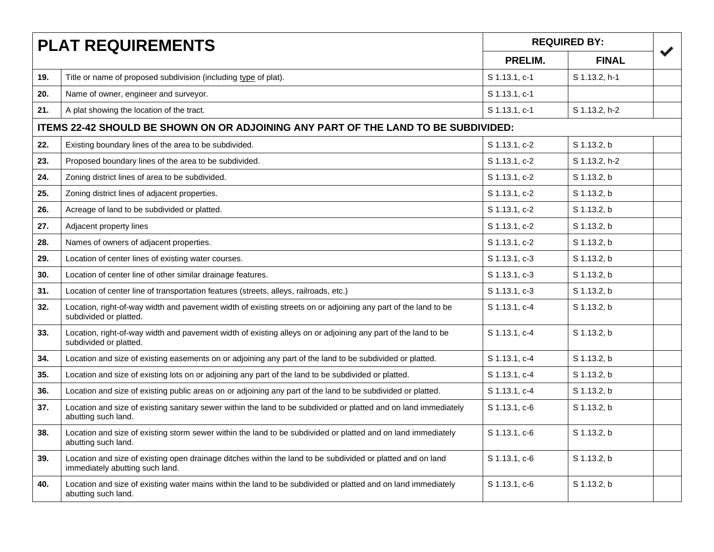| <b>PLAT REQUIREMENTS</b> |                                                                                                                                                | <b>REQUIRED BY:</b> |               |                      |
|--------------------------|------------------------------------------------------------------------------------------------------------------------------------------------|---------------------|---------------|----------------------|
|                          |                                                                                                                                                | PRELIM.             | <b>FINAL</b>  | $\blacktriangledown$ |
| 19.                      | Title or name of proposed subdivision (including type of plat).                                                                                | S 1.13.1, c-1       | S 1.13.2, h-1 |                      |
| 20.                      | Name of owner, engineer and surveyor.                                                                                                          | S 1.13.1, c-1       |               |                      |
| 21.                      | A plat showing the location of the tract.                                                                                                      | S 1.13.1, c-1       | S 1.13.2, h-2 |                      |
|                          | ITEMS 22-42 SHOULD BE SHOWN ON OR ADJOINING ANY PART OF THE LAND TO BE SUBDIVIDED:                                                             |                     |               |                      |
| 22.                      | Existing boundary lines of the area to be subdivided.                                                                                          | S 1.13.1, c-2       | S 1.13.2, b   |                      |
| 23.                      | Proposed boundary lines of the area to be subdivided.                                                                                          | S 1.13.1, c-2       | S 1.13.2, h-2 |                      |
| 24.                      | Zoning district lines of area to be subdivided.                                                                                                | S 1.13.1, c-2       | S 1.13.2, b   |                      |
| 25.                      | Zoning district lines of adjacent properties.                                                                                                  | S 1.13.1, c-2       | S 1.13.2, b   |                      |
| 26.                      | Acreage of land to be subdivided or platted.                                                                                                   | S 1.13.1, c-2       | S 1.13.2, b   |                      |
| 27.                      | Adjacent property lines                                                                                                                        | S 1.13.1, c-2       | S 1.13.2, b   |                      |
| 28.                      | Names of owners of adjacent properties.                                                                                                        | S 1.13.1, c-2       | S 1.13.2, b   |                      |
| 29.                      | Location of center lines of existing water courses.                                                                                            | S 1.13.1, c-3       | S 1.13.2, b   |                      |
| 30.                      | Location of center line of other similar drainage features.                                                                                    | S 1.13.1, c-3       | S 1.13.2, b   |                      |
| 31.                      | Location of center line of transportation features (streets, alleys, railroads, etc.)                                                          | S 1.13.1, c-3       | S 1.13.2. b   |                      |
| 32.                      | Location, right-of-way width and pavement width of existing streets on or adjoining any part of the land to be<br>subdivided or platted.       | S 1.13.1, c-4       | S 1.13.2, b   |                      |
| 33.                      | Location, right-of-way width and pavement width of existing alleys on or adjoining any part of the land to be<br>subdivided or platted.        | S 1.13.1, c-4       | S 1.13.2, b   |                      |
| 34.                      | Location and size of existing easements on or adjoining any part of the land to be subdivided or platted.                                      | S 1.13.1, c-4       | S 1.13.2, b   |                      |
| 35.                      | Location and size of existing lots on or adjoining any part of the land to be subdivided or platted.                                           | S 1.13.1, c-4       | S 1.13.2, b   |                      |
| 36.                      | Location and size of existing public areas on or adjoining any part of the land to be subdivided or platted.                                   | S 1.13.1, c-4       | S 1.13.2, b   |                      |
| 37.                      | Location and size of existing sanitary sewer within the land to be subdivided or platted and on land immediately<br>abutting such land.        | S 1.13.1, c-6       | S 1.13.2, b   |                      |
| 38.                      | Location and size of existing storm sewer within the land to be subdivided or platted and on land immediately<br>abutting such land.           | S 1.13.1, c-6       | S 1.13.2, b   |                      |
| 39.                      | Location and size of existing open drainage ditches within the land to be subdivided or platted and on land<br>immediately abutting such land. | S 1.13.1, c-6       | S 1.13.2, b   |                      |
| 40.                      | Location and size of existing water mains within the land to be subdivided or platted and on land immediately<br>abutting such land.           | S 1.13.1, c-6       | S 1.13.2, b   |                      |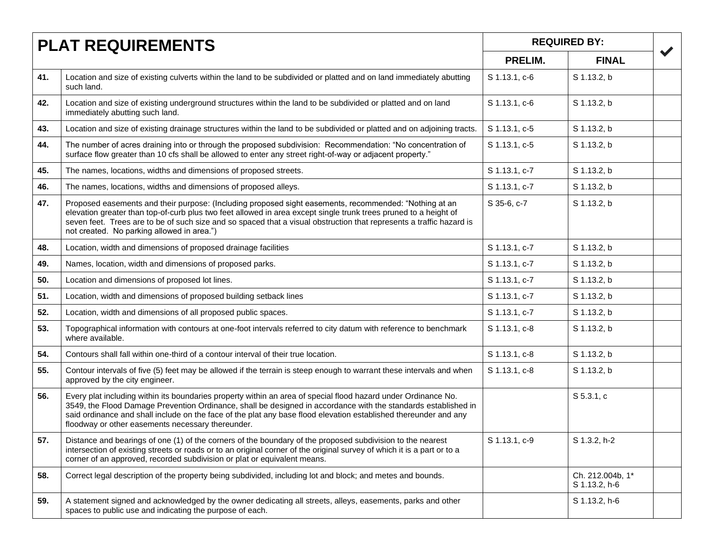|     | <b>PLAT REQUIREMENTS</b>                                                                                                                                                                                                                                                                                                                                                                                  |               | <b>REQUIRED BY:</b>               |  |
|-----|-----------------------------------------------------------------------------------------------------------------------------------------------------------------------------------------------------------------------------------------------------------------------------------------------------------------------------------------------------------------------------------------------------------|---------------|-----------------------------------|--|
|     |                                                                                                                                                                                                                                                                                                                                                                                                           |               | <b>FINAL</b>                      |  |
| 41. | Location and size of existing culverts within the land to be subdivided or platted and on land immediately abutting<br>such land.                                                                                                                                                                                                                                                                         | S 1.13.1, c-6 | S 1.13.2, b                       |  |
| 42. | Location and size of existing underground structures within the land to be subdivided or platted and on land<br>immediately abutting such land.                                                                                                                                                                                                                                                           | S 1.13.1, c-6 | S 1.13.2, b                       |  |
| 43. | Location and size of existing drainage structures within the land to be subdivided or platted and on adjoining tracts.                                                                                                                                                                                                                                                                                    | S 1.13.1, c-5 | S 1.13.2, b                       |  |
| 44. | The number of acres draining into or through the proposed subdivision: Recommendation: "No concentration of<br>surface flow greater than 10 cfs shall be allowed to enter any street right-of-way or adjacent property."                                                                                                                                                                                  | S 1.13.1, c-5 | S 1.13.2, b                       |  |
| 45. | The names, locations, widths and dimensions of proposed streets.                                                                                                                                                                                                                                                                                                                                          | S 1.13.1, c-7 | S 1.13.2, b                       |  |
| 46. | The names, locations, widths and dimensions of proposed alleys.                                                                                                                                                                                                                                                                                                                                           | S 1.13.1, c-7 | S 1.13.2, b                       |  |
| 47. | Proposed easements and their purpose: (Including proposed sight easements, recommended: "Nothing at an<br>elevation greater than top-of-curb plus two feet allowed in area except single trunk trees pruned to a height of<br>seven feet. Trees are to be of such size and so spaced that a visual obstruction that represents a traffic hazard is<br>not created. No parking allowed in area.")          | S 35-6, c-7   | S 1.13.2, b                       |  |
| 48. | Location, width and dimensions of proposed drainage facilities                                                                                                                                                                                                                                                                                                                                            | S 1.13.1, c-7 | S 1.13.2, b                       |  |
| 49. | Names, location, width and dimensions of proposed parks.                                                                                                                                                                                                                                                                                                                                                  | S 1.13.1, c-7 | S 1.13.2, b                       |  |
| 50. | Location and dimensions of proposed lot lines.                                                                                                                                                                                                                                                                                                                                                            | S 1.13.1, c-7 | S 1.13.2, b                       |  |
| 51. | Location, width and dimensions of proposed building setback lines                                                                                                                                                                                                                                                                                                                                         | S 1.13.1, c-7 | S 1.13.2, b                       |  |
| 52. | Location, width and dimensions of all proposed public spaces.                                                                                                                                                                                                                                                                                                                                             | S 1.13.1, c-7 | S 1.13.2, b                       |  |
| 53. | Topographical information with contours at one-foot intervals referred to city datum with reference to benchmark<br>where available.                                                                                                                                                                                                                                                                      | S 1.13.1, c-8 | S 1.13.2, b                       |  |
| 54. | Contours shall fall within one-third of a contour interval of their true location.                                                                                                                                                                                                                                                                                                                        | S 1.13.1, c-8 | S 1.13.2, b                       |  |
| 55. | Contour intervals of five (5) feet may be allowed if the terrain is steep enough to warrant these intervals and when<br>approved by the city engineer.                                                                                                                                                                                                                                                    | S 1.13.1, c-8 | S 1.13.2, b                       |  |
| 56. | Every plat including within its boundaries property within an area of special flood hazard under Ordinance No.<br>3549, the Flood Damage Prevention Ordinance, shall be designed in accordance with the standards established in<br>said ordinance and shall include on the face of the plat any base flood elevation established thereunder and any<br>floodway or other easements necessary thereunder. |               | S 5.3.1, c                        |  |
| 57. | Distance and bearings of one (1) of the corners of the boundary of the proposed subdivision to the nearest<br>intersection of existing streets or roads or to an original corner of the original survey of which it is a part or to a<br>corner of an approved, recorded subdivision or plat or equivalent means.                                                                                         | S 1.13.1, c-9 | S 1.3.2, h-2                      |  |
| 58. | Correct legal description of the property being subdivided, including lot and block; and metes and bounds.                                                                                                                                                                                                                                                                                                |               | Ch. 212.004b, 1*<br>S 1.13.2, h-6 |  |
| 59. | A statement signed and acknowledged by the owner dedicating all streets, alleys, easements, parks and other<br>spaces to public use and indicating the purpose of each.                                                                                                                                                                                                                                   |               | S 1.13.2, h-6                     |  |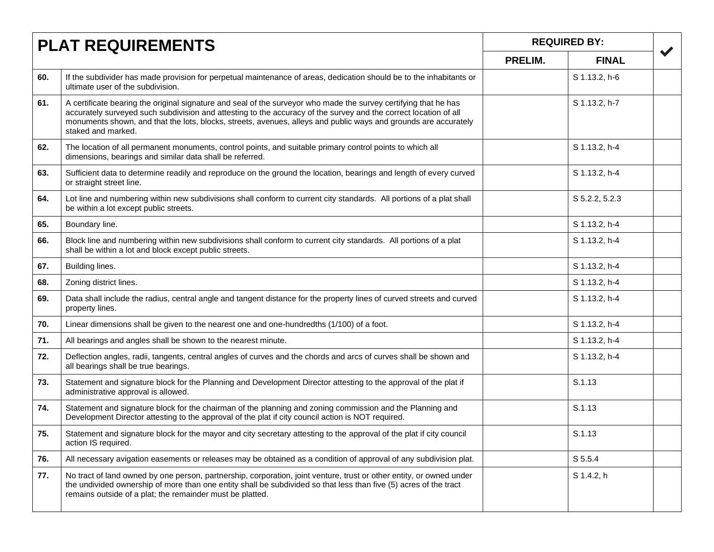|     | <b>PLAT REQUIREMENTS</b>                                                                                                                                                                                                                                                                                                                                                      |         | <b>REQUIRED BY:</b> |                      |
|-----|-------------------------------------------------------------------------------------------------------------------------------------------------------------------------------------------------------------------------------------------------------------------------------------------------------------------------------------------------------------------------------|---------|---------------------|----------------------|
|     |                                                                                                                                                                                                                                                                                                                                                                               | PRELIM. | <b>FINAL</b>        | $\blacktriangledown$ |
| 60. | If the subdivider has made provision for perpetual maintenance of areas, dedication should be to the inhabitants or<br>ultimate user of the subdivision.                                                                                                                                                                                                                      |         | S 1.13.2, h-6       |                      |
| 61. | A certificate bearing the original signature and seal of the surveyor who made the survey certifying that he has<br>accurately surveyed such subdivision and attesting to the accuracy of the survey and the correct location of all<br>monuments shown, and that the lots, blocks, streets, avenues, alleys and public ways and grounds are accurately<br>staked and marked. |         | S 1.13.2, h-7       |                      |
| 62. | The location of all permanent monuments, control points, and suitable primary control points to which all<br>dimensions, bearings and similar data shall be referred.                                                                                                                                                                                                         |         | S 1.13.2, h-4       |                      |
| 63. | Sufficient data to determine readily and reproduce on the ground the location, bearings and length of every curved<br>or straight street line.                                                                                                                                                                                                                                |         | S 1.13.2, h-4       |                      |
| 64. | Lot line and numbering within new subdivisions shall conform to current city standards. All portions of a plat shall<br>be within a lot except public streets.                                                                                                                                                                                                                |         | S 5.2.2, 5.2.3      |                      |
| 65. | Boundary line.                                                                                                                                                                                                                                                                                                                                                                |         | S 1.13.2, h-4       |                      |
| 66. | Block line and numbering within new subdivisions shall conform to current city standards. All portions of a plat<br>shall be within a lot and block except public streets.                                                                                                                                                                                                    |         | S 1.13.2, h-4       |                      |
| 67. | Building lines.                                                                                                                                                                                                                                                                                                                                                               |         | S 1.13.2, h-4       |                      |
| 68. | Zoning district lines.                                                                                                                                                                                                                                                                                                                                                        |         | S 1.13.2, h-4       |                      |
| 69. | Data shall include the radius, central angle and tangent distance for the property lines of curved streets and curved<br>property lines.                                                                                                                                                                                                                                      |         | S 1.13.2, h-4       |                      |
| 70. | Linear dimensions shall be given to the nearest one and one-hundredths (1/100) of a foot.                                                                                                                                                                                                                                                                                     |         | S 1.13.2, h-4       |                      |
| 71. | All bearings and angles shall be shown to the nearest minute.                                                                                                                                                                                                                                                                                                                 |         | S 1.13.2, h-4       |                      |
| 72. | Deflection angles, radii, tangents, central angles of curves and the chords and arcs of curves shall be shown and<br>all bearings shall be true bearings.                                                                                                                                                                                                                     |         | S 1.13.2, h-4       |                      |
| 73. | Statement and signature block for the Planning and Development Director attesting to the approval of the plat if<br>administrative approval is allowed.                                                                                                                                                                                                                       |         | S.1.13              |                      |
| 74. | Statement and signature block for the chairman of the planning and zoning commission and the Planning and<br>Development Director attesting to the approval of the plat if city council action is NOT required.                                                                                                                                                               |         | S.1.13              |                      |
| 75. | Statement and signature block for the mayor and city secretary attesting to the approval of the plat if city council<br>action IS required.                                                                                                                                                                                                                                   |         | S.1.13              |                      |
| 76. | All necessary avigation easements or releases may be obtained as a condition of approval of any subdivision plat.                                                                                                                                                                                                                                                             |         | S 5.5.4             |                      |
| 77. | No tract of land owned by one person, partnership, corporation, joint venture, trust or other entity, or owned under<br>the undivided ownership of more than one entity shall be subdivided so that less than five (5) acres of the tract<br>remains outside of a plat; the remainder must be platted.                                                                        |         | S 1.4.2, h          |                      |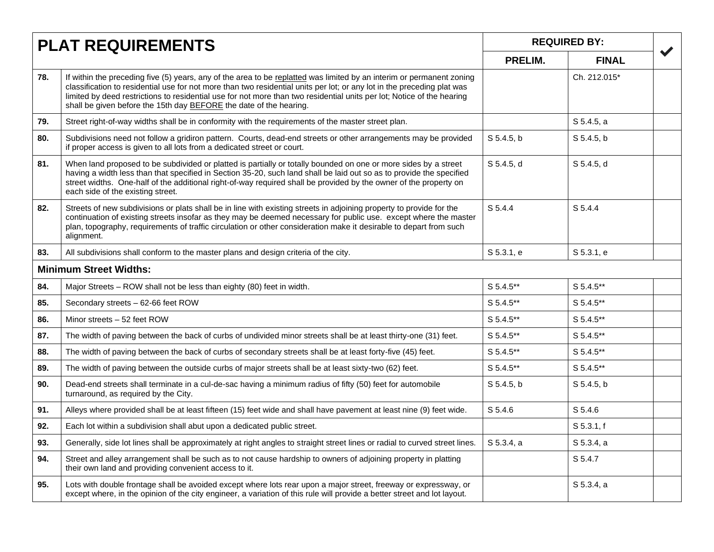| <b>PLAT REQUIREMENTS</b> |                                                                                                                                                                                                                                                                                                                                                                                                                                                  | <b>REQUIRED BY:</b> |              |                      |
|--------------------------|--------------------------------------------------------------------------------------------------------------------------------------------------------------------------------------------------------------------------------------------------------------------------------------------------------------------------------------------------------------------------------------------------------------------------------------------------|---------------------|--------------|----------------------|
|                          |                                                                                                                                                                                                                                                                                                                                                                                                                                                  | PRELIM.             | <b>FINAL</b> | $\blacktriangledown$ |
| 78.                      | If within the preceding five (5) years, any of the area to be replatted was limited by an interim or permanent zoning<br>classification to residential use for not more than two residential units per lot; or any lot in the preceding plat was<br>limited by deed restrictions to residential use for not more than two residential units per lot; Notice of the hearing<br>shall be given before the 15th day BEFORE the date of the hearing. |                     | Ch. 212.015* |                      |
| 79.                      | Street right-of-way widths shall be in conformity with the requirements of the master street plan.                                                                                                                                                                                                                                                                                                                                               |                     | S 5.4.5, a   |                      |
| 80.                      | Subdivisions need not follow a gridiron pattern. Courts, dead-end streets or other arrangements may be provided<br>if proper access is given to all lots from a dedicated street or court.                                                                                                                                                                                                                                                       | $S$ 5.4.5, b        | S 5.4.5, b   |                      |
| 81.                      | When land proposed to be subdivided or platted is partially or totally bounded on one or more sides by a street<br>having a width less than that specified in Section 35-20, such land shall be laid out so as to provide the specified<br>street widths. One-half of the additional right-of-way required shall be provided by the owner of the property on<br>each side of the existing street.                                                | S 5.4.5, d          | S 5.4.5, d   |                      |
| 82.                      | Streets of new subdivisions or plats shall be in line with existing streets in adjoining property to provide for the<br>continuation of existing streets insofar as they may be deemed necessary for public use. except where the master<br>plan, topography, requirements of traffic circulation or other consideration make it desirable to depart from such<br>alignment.                                                                     | S 5.4.4             | S 5.4.4      |                      |
| 83.                      | All subdivisions shall conform to the master plans and design criteria of the city.                                                                                                                                                                                                                                                                                                                                                              | S 5.3.1. e          | S 5.3.1. e   |                      |
|                          | <b>Minimum Street Widths:</b>                                                                                                                                                                                                                                                                                                                                                                                                                    |                     |              |                      |
| 84.                      | Major Streets - ROW shall not be less than eighty (80) feet in width.                                                                                                                                                                                                                                                                                                                                                                            | S 5.4.5**           | S 5.4.5**    |                      |
| 85.                      | Secondary streets - 62-66 feet ROW                                                                                                                                                                                                                                                                                                                                                                                                               | S 5.4.5**           | S 5.4.5**    |                      |
| 86.                      | Minor streets - 52 feet ROW                                                                                                                                                                                                                                                                                                                                                                                                                      | S 5.4.5**           | S 5.4.5**    |                      |
| 87.                      | The width of paving between the back of curbs of undivided minor streets shall be at least thirty-one (31) feet.                                                                                                                                                                                                                                                                                                                                 | S 5.4.5**           | S 5.4.5**    |                      |
| 88.                      | The width of paving between the back of curbs of secondary streets shall be at least forty-five (45) feet.                                                                                                                                                                                                                                                                                                                                       | S 5.4.5**           | S 5.4.5**    |                      |
| 89.                      | The width of paving between the outside curbs of major streets shall be at least sixty-two (62) feet.                                                                                                                                                                                                                                                                                                                                            | S 5.4.5**           | S 5.4.5**    |                      |
| 90.                      | Dead-end streets shall terminate in a cul-de-sac having a minimum radius of fifty (50) feet for automobile<br>turnaround, as required by the City.                                                                                                                                                                                                                                                                                               | S 5.4.5, b          | S 5.4.5, b   |                      |
| 91.                      | Alleys where provided shall be at least fifteen (15) feet wide and shall have pavement at least nine (9) feet wide.                                                                                                                                                                                                                                                                                                                              | S 5.4.6             | S 5.4.6      |                      |
| 92.                      | Each lot within a subdivision shall abut upon a dedicated public street.                                                                                                                                                                                                                                                                                                                                                                         |                     | $S$ 5.3.1, f |                      |
| 93.                      | Generally, side lot lines shall be approximately at right angles to straight street lines or radial to curved street lines.                                                                                                                                                                                                                                                                                                                      | S 5.3.4, a          | S 5.3.4, a   |                      |
| 94.                      | Street and alley arrangement shall be such as to not cause hardship to owners of adjoining property in platting<br>their own land and providing convenient access to it.                                                                                                                                                                                                                                                                         |                     | S 5.4.7      |                      |
| 95.                      | Lots with double frontage shall be avoided except where lots rear upon a major street, freeway or expressway, or<br>except where, in the opinion of the city engineer, a variation of this rule will provide a better street and lot layout.                                                                                                                                                                                                     |                     | S 5.3.4, a   |                      |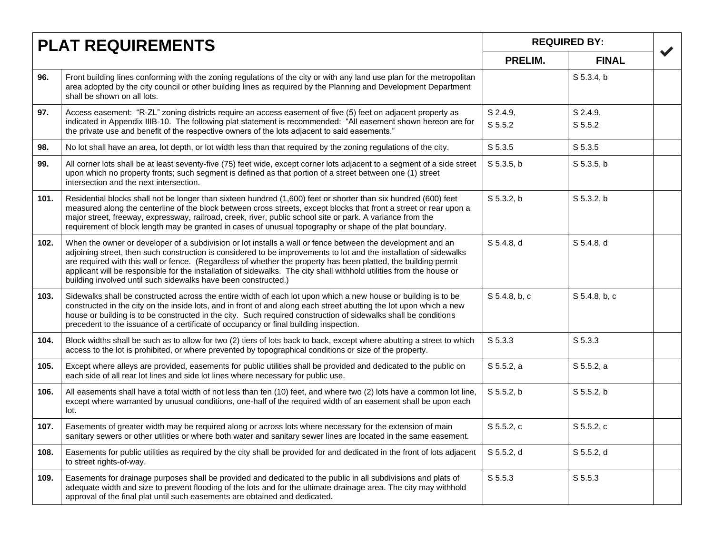|      | <b>PLAT REQUIREMENTS</b>                                                                                                                                                                                                                                                                                                                                                                                                                                                                                                                       |                     | <b>REQUIRED BY:</b>            |  |
|------|------------------------------------------------------------------------------------------------------------------------------------------------------------------------------------------------------------------------------------------------------------------------------------------------------------------------------------------------------------------------------------------------------------------------------------------------------------------------------------------------------------------------------------------------|---------------------|--------------------------------|--|
|      |                                                                                                                                                                                                                                                                                                                                                                                                                                                                                                                                                |                     | <b>FINAL</b>                   |  |
| 96.  | Front building lines conforming with the zoning regulations of the city or with any land use plan for the metropolitan<br>area adopted by the city council or other building lines as required by the Planning and Development Department<br>shall be shown on all lots.                                                                                                                                                                                                                                                                       |                     | S 5.3.4, b                     |  |
| 97.  | Access easement: "R-ZL" zoning districts require an access easement of five (5) feet on adjacent property as<br>indicated in Appendix IIIB-10. The following plat statement is recommended: "All easement shown hereon are for<br>the private use and benefit of the respective owners of the lots adjacent to said easements."                                                                                                                                                                                                                | S 2.4.9,<br>S 5.5.2 | S 2.4.9,<br>S <sub>5.5.2</sub> |  |
| 98.  | No lot shall have an area, lot depth, or lot width less than that required by the zoning regulations of the city.                                                                                                                                                                                                                                                                                                                                                                                                                              | S 5.3.5             | S 5.3.5                        |  |
| 99.  | All corner lots shall be at least seventy-five (75) feet wide, except corner lots adjacent to a segment of a side street<br>upon which no property fronts; such segment is defined as that portion of a street between one (1) street<br>intersection and the next intersection.                                                                                                                                                                                                                                                               | S 5.3.5, b          | $S$ 5.3.5, b                   |  |
| 101. | Residential blocks shall not be longer than sixteen hundred (1,600) feet or shorter than six hundred (600) feet<br>measured along the centerline of the block between cross streets, except blocks that front a street or rear upon a<br>major street, freeway, expressway, railroad, creek, river, public school site or park. A variance from the<br>requirement of block length may be granted in cases of unusual topography or shape of the plat boundary.                                                                                | S 5.3.2, b          | S 5.3.2, b                     |  |
| 102. | When the owner or developer of a subdivision or lot installs a wall or fence between the development and an<br>adjoining street, then such construction is considered to be improvements to lot and the installation of sidewalks<br>are required with this wall or fence. (Regardless of whether the property has been platted, the building permit<br>applicant will be responsible for the installation of sidewalks. The city shall withhold utilities from the house or<br>building involved until such sidewalks have been constructed.) | S 5.4.8, d          | $S$ 5.4.8, d                   |  |
| 103. | Sidewalks shall be constructed across the entire width of each lot upon which a new house or building is to be<br>constructed in the city on the inside lots, and in front of and along each street abutting the lot upon which a new<br>house or building is to be constructed in the city. Such required construction of sidewalks shall be conditions<br>precedent to the issuance of a certificate of occupancy or final building inspection.                                                                                              | S 5.4.8, b, c       | S 5.4.8, b, c                  |  |
| 104. | Block widths shall be such as to allow for two (2) tiers of lots back to back, except where abutting a street to which<br>access to the lot is prohibited, or where prevented by topographical conditions or size of the property.                                                                                                                                                                                                                                                                                                             | S 5.3.3             | S 5.3.3                        |  |
| 105. | Except where alleys are provided, easements for public utilities shall be provided and dedicated to the public on<br>each side of all rear lot lines and side lot lines where necessary for public use.                                                                                                                                                                                                                                                                                                                                        | S 5.5.2, a          | S 5.5.2, a                     |  |
| 106. | All easements shall have a total width of not less than ten (10) feet, and where two (2) lots have a common lot line,<br>except where warranted by unusual conditions, one-half of the required width of an easement shall be upon each<br>lot.                                                                                                                                                                                                                                                                                                | S 5.5.2, b          | S 5.5.2, b                     |  |
| 107. | Easements of greater width may be required along or across lots where necessary for the extension of main<br>sanitary sewers or other utilities or where both water and sanitary sewer lines are located in the same easement.                                                                                                                                                                                                                                                                                                                 | S 5.5.2, c          | S 5.5.2, c                     |  |
| 108. | Easements for public utilities as required by the city shall be provided for and dedicated in the front of lots adjacent<br>to street rights-of-way.                                                                                                                                                                                                                                                                                                                                                                                           | $S$ 5.5.2, d        | S 5.5.2, d                     |  |
| 109. | Easements for drainage purposes shall be provided and dedicated to the public in all subdivisions and plats of<br>adequate width and size to prevent flooding of the lots and for the ultimate drainage area. The city may withhold<br>approval of the final plat until such easements are obtained and dedicated.                                                                                                                                                                                                                             | S 5.5.3             | S 5.5.3                        |  |